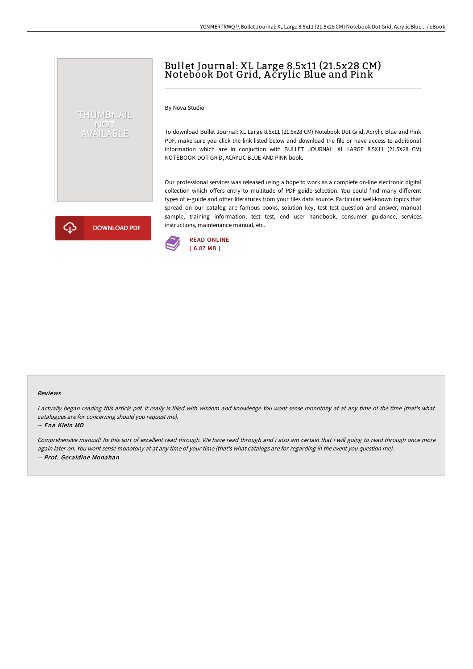# Bullet Journal: XL Large 8.5x11 (21.5x28 CM) Notebook Dot Grid, A crylic Blue and Pink

By Nova Studio

To download Bullet Journal: XL Large 8.5x11 (21.5x28 CM) Notebook Dot Grid, Acrylic Blue and Pink PDF, make sure you click the link listed below and download the file or have access to additional information which are in conjuction with BULLET JOURNAL: XL LARGE 8.5X11 (21.5X28 CM) NOTEBOOK DOT GRID, ACRYLIC BLUE AND PINK book.

Our professional services was released using a hope to work as a complete on-line electronic digital collection which offers entry to multitude of PDF guide selection. You could find many different types of e-guide and other literatures from your files data source. Particular well-known topics that spread on our catalog are famous books, solution key, test test question and answer, manual sample, training information, test test, end user handbook, consumer guidance, services instructions, maintenance manual, etc.



THUMBNAIL NOT<br>AVAILABLE



#### Reviews

<sup>I</sup> actually began reading this article pdf. It really is filled with wisdom and knowledge You wont sense monotony at at any time of the time (that's what catalogues are for concerning should you request me).

#### -- Ena Klein MD

Comprehensive manual! Its this sort of excellent read through. We have read through and i also am certain that i will going to read through once more again later on. You wont sense monotony at at any time of your time (that's what catalogs are for regarding in the event you question me). -- Prof. Geraldine Monahan